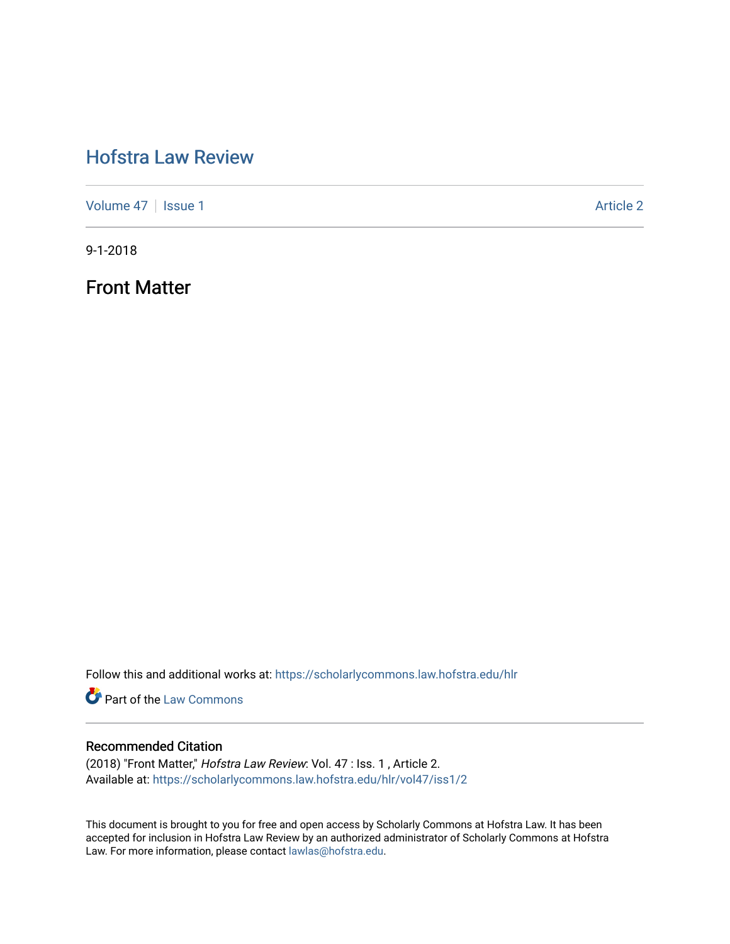# [Hofstra Law Review](https://scholarlycommons.law.hofstra.edu/hlr)

[Volume 47](https://scholarlycommons.law.hofstra.edu/hlr/vol47) | [Issue 1](https://scholarlycommons.law.hofstra.edu/hlr/vol47/iss1) Article 2

9-1-2018

Front Matter

Follow this and additional works at: [https://scholarlycommons.law.hofstra.edu/hlr](https://scholarlycommons.law.hofstra.edu/hlr?utm_source=scholarlycommons.law.hofstra.edu%2Fhlr%2Fvol47%2Fiss1%2F2&utm_medium=PDF&utm_campaign=PDFCoverPages)

**Part of the [Law Commons](http://network.bepress.com/hgg/discipline/578?utm_source=scholarlycommons.law.hofstra.edu%2Fhlr%2Fvol47%2Fiss1%2F2&utm_medium=PDF&utm_campaign=PDFCoverPages)** 

### Recommended Citation

(2018) "Front Matter," Hofstra Law Review: Vol. 47 : Iss. 1 , Article 2. Available at: [https://scholarlycommons.law.hofstra.edu/hlr/vol47/iss1/2](https://scholarlycommons.law.hofstra.edu/hlr/vol47/iss1/2?utm_source=scholarlycommons.law.hofstra.edu%2Fhlr%2Fvol47%2Fiss1%2F2&utm_medium=PDF&utm_campaign=PDFCoverPages)

This document is brought to you for free and open access by Scholarly Commons at Hofstra Law. It has been accepted for inclusion in Hofstra Law Review by an authorized administrator of Scholarly Commons at Hofstra Law. For more information, please contact [lawlas@hofstra.edu.](mailto:lawlas@hofstra.edu)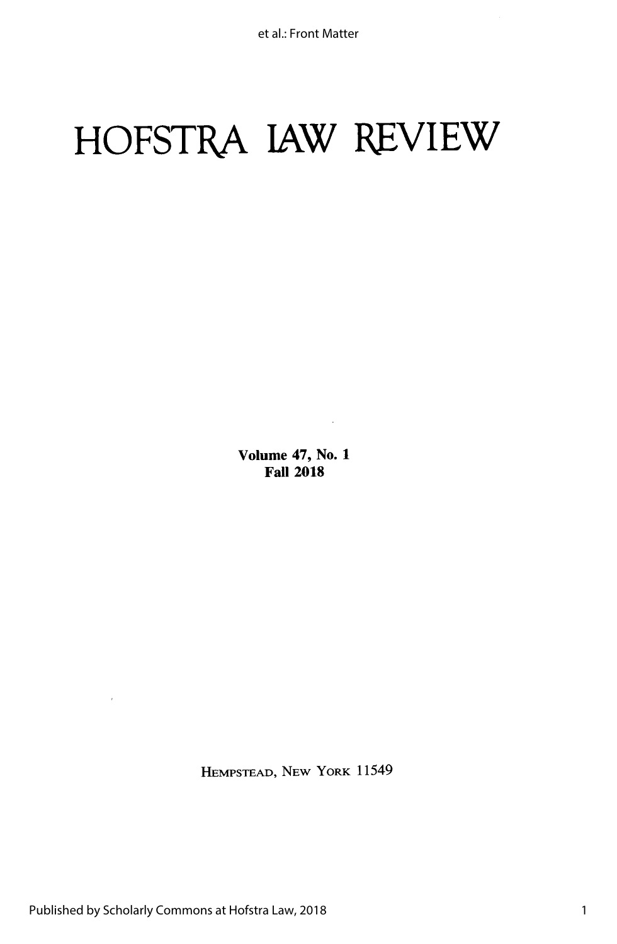# HOFSTRA **lAW** REVIEW

Volume 47, No. **1** Fall **2018**

 $\sim 10^{-1}$ 

HEMPsTEAD, NEW YORK 11549

 $\bar{r}$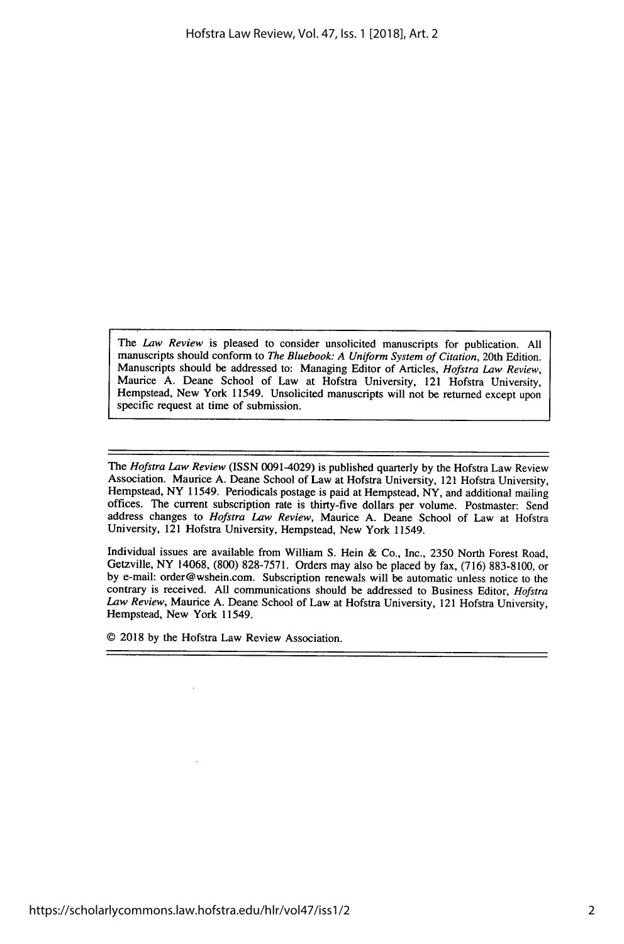The *Law Review* is pleased to consider unsolicited manuscripts for publication. All manuscripts should conform to *The Bluebook: A Uniform System of Citation,* 20th Edition. Manuscripts should be addressed to: Managing Editor of Articles, *Hofstra Law Review,* Maurice A. Deane School of Law at Hofstra University, 121 Hofstra University, Hempstead, New York 11549. Unsolicited manuscripts will not be returned except upon specific request at time of submission.

*The Hofstra Law Review* (ISSN 0091-4029) is published quarterly by the Hofstra Law Review Association. Maurice A. Deane School of Law at Hofstra University, 121 Hofstra University, Hempstead, NY 11549. Periodicals postage is paid at Hempstead, NY, and additional mailing offices. The current subscription rate is thirty-five dollars per volume. Postmaster: Send address changes to *Hofstra Law Review,* Maurice A. Deane School of Law at Hofstra University, 121 Hofstra University, Hempstead, New York 11549.

Individual issues are available from William S. Hein & Co., Inc., 2350 North Forest Road, Getzville, NY 14068, (800) 828-7571. Orders may also be placed by fax, (716) 883-8100, or by e-mail: order@wshein.com. Subscription renewals will be automatic unless notice to the contrary is received. **All** communications should be addressed to Business Editor, *Hofstra Law Review,* Maurice A. Deane School of Law at Hofstra University, 121 Hofstra University, Hempstead, New York 11549.

© 2018 by the Hofstra Law Review Association.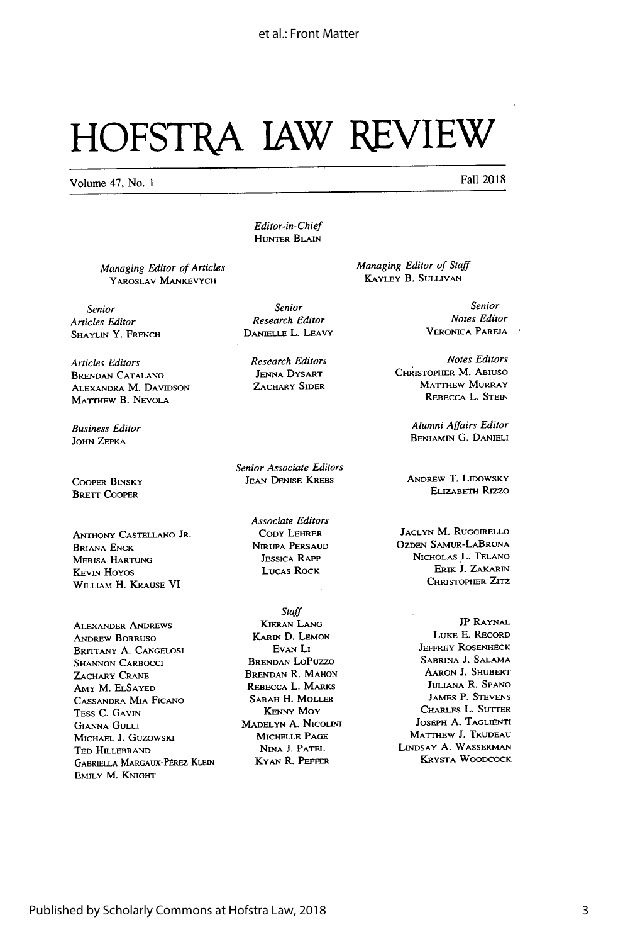# **HOFSTRA LAW REVIEW**

Volume 47, No. **1**

Fall **2018**

*Editor-in-Chief* HUNTER BLAIN

*Managing Editor of Articles* YAROSLAV MANKEVYCH

*Senior Articles Editor* **SHAYLIN** Y. FRENCH

*Articles Editors* BRENDAN CATALANO ALEXANDRA M. **DAVIDSON** MATTHEW B. NEVOLA

*Business Editor* JOHN ZEPKA

COOPER BINSKY **BRETr** COOPER

**ANTHONY CASTELLANO** JR. BRIANA **ENCK** MERISA **HARTUNG** KEVIN HoYos WILLIAM H. KRAUSE VI

ALEXANDER ANDREWS ANDREW BORRUSo BRITTANY A. CANGELOSI SHANNON CARBOCCI ZACHARY **CRANE** AMY M. ELSAYED CASSANDRA **MIA** FICANO TESS C. GAVIN GIANNA GuLLI MICHAEL J. GuzowsKi **TED** HILLEBRAND GABRIELLA MARGAUX-PÉREZ KLEIN EMILY M. **KNIGHT**

*Senior Research Editor* DANIELLE L. LEAVY

*Research Editors* JENNA DYSART ZACHARY SIDER

*Senior Associate Editors* **JEAN DENISE KREBS** 

> *Associate Editors* **CODY** LEHRER NIRUPA PERSAUD JESSICA RAPP LUCAS ROCK

*Staff* KIERAN LANG KARIN D. LEMON EVAN **Li BRENDAN** LoPUzzo BRENDAN R. MAHON REBECCA L. MARKS SARAH H. MOLLER **KENNY** Moy MADELYN A. NICOLI **MICHELLE PAGE NINA J.** PATEL KYAN R. PEFFER

*Senior*

*Managing Editor of Staff* KAYLEY B. SULLIVAN

> *Notes Editor* VERONICA **PAREJA**

*Notes Editors* CHRISTOPHER M. ABIUSO **MATTHEW MURRAY** REBECCA L. STEIN

> *Alumni Affairs Editor* BENJAMIN G. DANIELI

ANDREW T. LIDOWSKY ELIZABETH RIZZO

JACLYN M. RUGGIRELLO OZDEN SAMUR-LABRUNA NICHOLAS L. TELANO ERIK J. ZAKARIN CHRISTOPHER ZITZ

**JP** RAYNAL LUKE E. RECORD JEFFREY ROSENHECK SABRINA J. SALAMA AARON J. SHUBERT JULIANA R. SPANO **JAMES** P. **STEVENS** CHARLES L. SUTTER JOSEPH A. TAGLIENTI MATTHEW J. TRUDEAU **LINDSAY A. WASSERMAN** KRYSTA WOODCOCK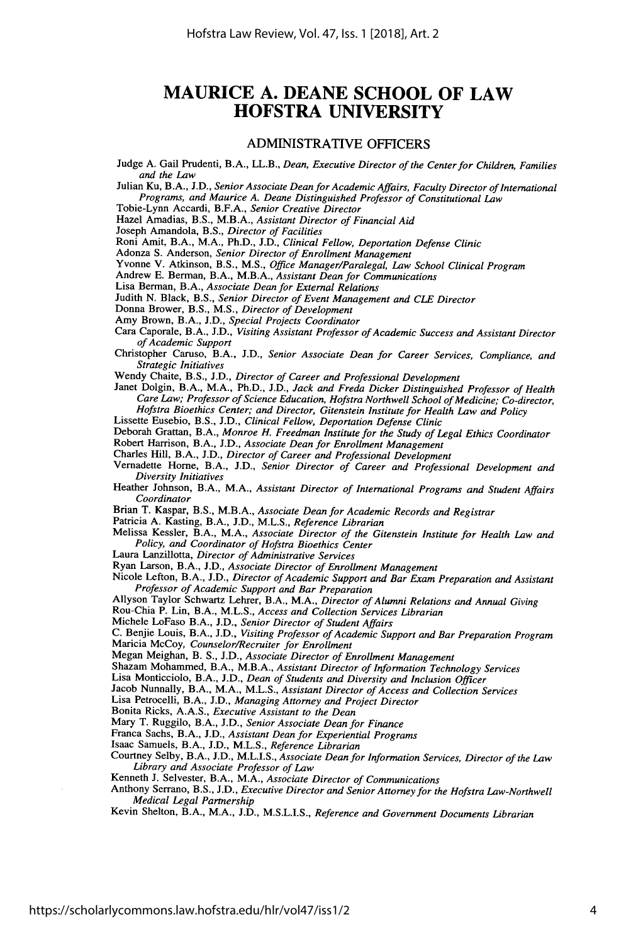### **MAURICE A. DEANE SCHOOL OF LAW HOFSTRA UNIVERSITY**

#### ADMINISTRATIVE OFFICERS

Judge A. Gail Prudenti, B.A., LL.B., *Dean, Executive Director of the Center for Children, Families and the Law*

Julian Ku, B.A., J.D., *Senior Associate Dean for Academic Affairs, Faculty Director of International Programs, and Maurice A. Deane Distinguished Professor of Constitutional Law*

Tobie-Lynn Accardi, B.F.A., *Senior Creative Director*

Hazel Amadias, B.S., M.B.A., *Assistant Director of Financial Aid*

Joseph Amandola, B.S., *Director of Facilities*

Roni Amit, B.A., M.A., Ph.D., J.D., *Clinical Fellow, Deportation Defense Clinic*

Adonza S. Anderson, *Senior Director of Enrollment Management*

Yvonne V. Atkinson, B.S., M.S., *Office Manager/Paralegal, Law School Clinical Program*

Andrew E. Berman, B.A., M.B.A., *Assistant Dean for Communications*

Lisa Berman, B.A., *Associate Dean for External Relations*

Judith N. Black, B.S., *Senior Director of Event Management and CLE Director*

Donna Brower, B.S., M.S., *Director of Development*

Amy Brown, B.A., J.D., *Special Projects Coordinator*

Cara Caporale, B.A., J.D., *Visiting Assistant Professor of Academic Success and Assistant Director of Academic Support*

Christopher Caruso, B.A., J.D., *Senior Associate Dean for Career Services, Compliance, and Strategic Initiatives*

Wendy Chaite, B.S., J.D., *Director of Career and Professional Development*

Janet Dolgin, B.A., M.A., Ph.D., J.D., *Jack and Freda Dicker Distinguished Professor of Health Care Law; Professor of Science Education, Hofstra Northwell School of Medicine; Co-director, Hofstra Bioethics Center; and Director, Gitenstein Institute for Health Law and Policy*

Lissette Eusebio, B.S., J.D., *Clinical Fellow, Deportation Defense Clinic*

Deborah Grattan, B.A., *Monroe H. Freedman Institute for the Study of Legal Ethics Coordinator* Robert Harrison, B.A., J.D., *Associate Dean for Enrollment Management*

Charles Hill, B.A., J.D., *Director of Career and Professional Development*

Vernadette Home, B.A., J.D., *Senior Director of Career and Professional Development and Diversity Initiatives*

Heather Johnson, B.A., M.A., *Assistant Director of International Programs and Student Affairs Coordinator*

Brian T. Kaspar, B.S., M.B.A., *Associate Dean for Academic Records and Registrar*

Patricia A. Kasting, B.A., J.D., M.L.S., *Reference Librarian*

Melissa Kessler, B.A., M.A., *Associate Director of the Gitenstein Institute for Health Law and Policy, and Coordinator of Hofstra Bioethics Center*

Laura Lanzillotta, *Director of Administrative Services*

Ryan Larson, B.A., J.D., *Associate Director of Enrollment Management*

Nicole Lefton, B.A., J.D., *Director of Academic Support and Bar Exam Preparation and Assistant Professor of Academic Support and Bar Preparation*

Allyson Taylor Schwartz Lehrer, B.A., M.A., *Director of Alumni Relations and Annual Giving*

Rou-Chia P. Lin, B.A., M.L.S., *Access and Collection Services Librarian*

Michele LoFaso B.A., J.D., *Senior Director of Student Affairs*

C. Benjie Louis, B.A., J.D., *Visiting Professor of Academic Support and Bar Preparation Program* Maricia McCoy, *Counselor/Recruiter for Enrollment*

Megan Meighan, B. S., J.D., *Associate Director of Enrollment Management*

Shazam Mohammed, B.A., M.B.A., *Assistant Director of Information Technology Services*

Lisa Monticciolo, B.A., J.D., *Dean of Students and Diversity and Inclusion Officer*

Jacob Nunnally, B.A., M.A., M.L.S., *Assistant Director of Access and Collection Services*

Lisa Petrocelli, B.A., J.D., *Managing Attorney and Project Director*

Bonita Ricks, A.A.S., *Executive Assistant to the Dean*

Mary T. Ruggilo, B.A., J.D., *Senior Associate Dean for Finance*

Franca Sachs, B.A., J.D., *Assistant Dean for Experiential Programs*

Isaac Samuels, B.A., J.D., M.L.S., *Reference Librarian*

Courtney Selby, B.A., J.D., M.L.I.S., *Associate Dean for Information Services, Director of the Law Library and Associate Professor of Law*

Kenneth J. Selvester, B.A., M.A., *Associate Director of Communications*

Anthony Serrano, B.S., J.D., *Executive Director and Senior Attorney for the Hofstra Law-Northwell Medical Legal Partnership*

Kevin Shelton, B.A., M.A., J.D., M.S.L.I.S., *Reference and Government Documents Librarian*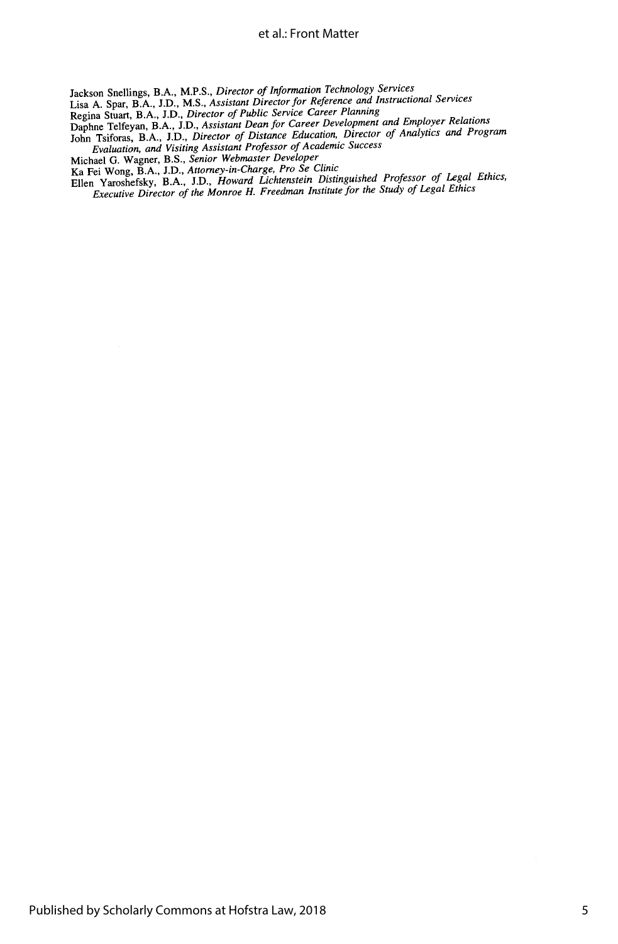#### et al.: Front Matter

Jackson Snellings, B.A., M.P.S., *Director of Information Technology Services*

Lisa A. Spar, B.A., J.D., M.S., *Assistant Director for Reference and Instructional Services*

Regina Stuart, B.A., J.D., *Director of Public Service Career Planning*

Daphne Telfeyan, B.A., J.D., *Assistant Dean for Career Development and Employer Relations* John Tsiforas, B.A., J.D., *Director of Distance Education, Director of Analytics and Program Evaluation, and Visiting Assistant Professor of Academic Success*

Michael G. Wagner, B.S., *Senior Webmaster Developer*

Ka Fei Wong, B.A., J.D., *Attorney-in-Charge, Pro Se Clinic* Ellen Yaroshefsky, B.A., J.D., *Howard Lichtenstein Distinguished Professor of Legal Ethics, Executive Director of the Monroe H. Freedman Institute for the Study of Legal Ethics*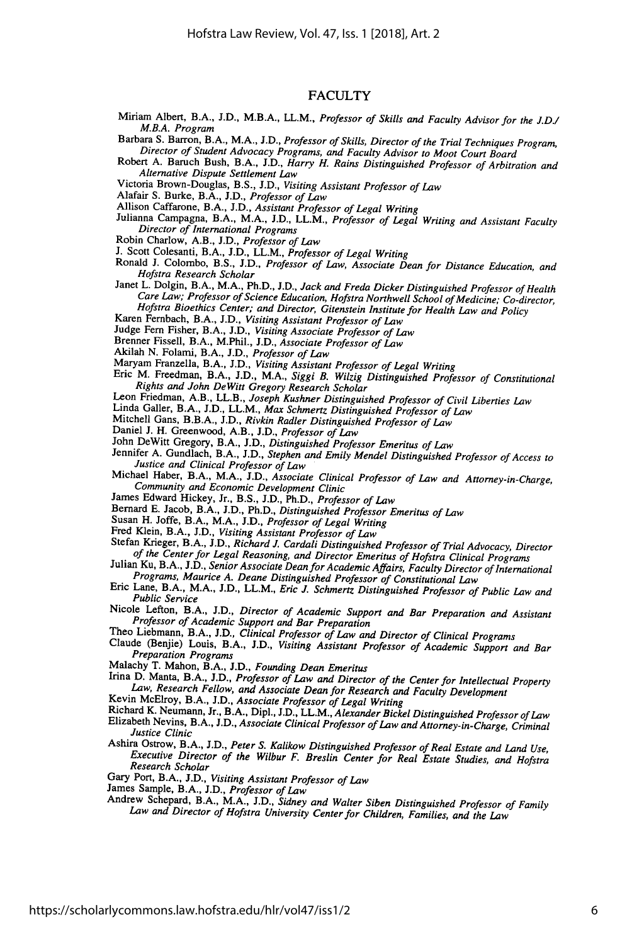#### FACULTY

- Miriam Albert, B.A., J.D., M.B.A., LL.M., *Professor of Skills and Faculty Advisor for the J.D.1 M.B.A. Program*
- Barbara S. Barron, B.A., M.A., J.D., Professor of Skills, Director of the Trial Techniques Program, Director of Student Advocacy Programs, and Faculty Advisor to Moot Court Board<br>Robert A. Baruch Bush, B.A., J.D., Harry H.
- *Alternative Dispute Settlement Law*
- Victoria Brown-Douglas, B.S., J.D., *Visiting Assistant Professor of Law*
- 
- Alafair S. Burke, B.A., J.D., *Professor of Law*
- Julianna Campagna, B.A., M.A., J.D., *LL.M., Professor of Legal Writing and Assistant Faculty Director of International Programs*
- 
- Robin Charlow, A.B., J.D., *Professor of Law*
- Ronald J. Colombo, B.S., J.D., *Professor of Law, Associate Dean for Distance Education, and Hofstra Research Scholar*
- Janet L. Dolgin, B.A., M.A., Ph.D., J.D., Jack and Freda Dicker Distinguished Professor of Health<br>Care Law; Professor of Science Education, Hofstra Northwell School of Medicine; Co-director,<br>Hofstra Bioethics Center; and D
- 
- 
- Brenner Fissell, B.A., M.Phil., J.D., *Associate Professor of Low*
- 
- Akilah N. Folarni, B.A., J.D., *Professor of Law*
- Eric M. Freedman, B.A., J.D., M.A., *Siggi B. Wilzig Distinguished Professor of Constitutional Rights and John DeWitt Gregory Research Scholar*
- Leon Friedman, A.B., LL.B., *Joseph Kushner Distinguished Professor of Civil Liberties Law* Linda Galler, B.A., J.D., LL.M., *Max Schmertz Distinguished Professor of Law*
- 
- Mitchell Gans, B.B.A., J.D., *Rivkin Radler Distinguished Professor of Law*
- 
- 
- John DeWitt Gregory, B.A., J.D., Distinguished Professor Emeritus of Law<br>Jennifer A. Gundlach, B.A., J.D., Stephen and Emily Mendel Distinguished Professor of Access to<br>Justice and Clinical Professor of Law
- *Michael Haber, B.A., M.A., J.D., Associate Clinical Professor of Law and Attorney-in-Charge, Community and Economic Development Clinic*
- James Edward Hickey, Jr., B.S., J.D., Ph.D., *Professor of Law*
- Bernard E. Jacob, B.A., J.D., Ph.D., *Distinguished Professor Emeritus of Law*
- Susan H. Joffe, B.A., M.A., J.D., *Professor of Legal Writing*
- 
- Stefan Krieger, B.A., J.D., Richard J. Cardali Distinguished Professor of Trial Advocacy, Director of the Center for Legal Reasoning, and Director Emeritus of Hofstra Clinical Programs<br>Julian Ku, B.A., J.D., Senior Associa
- 
- *Programs, Maurice A. Deane Distinguished Professor of Constitutional Law* Eric Lane, B.A., M.A., J.D., LL.M., *Eric J. Schmertz Distinguished Professor of Public Law and Public Service*
- Nicole Lefton, B.A., J.D., *Director of Academic Support and Bar Preparation and Assistant Professor of Academic Support and Bar Preparation*
- 
- Theo Liebmann, B.A., J.D., *Clinical Professor of Law and Director of Clinical Programs* Claude (Benjie) Louis, B.A., J.D., *Visiting Assistant Professor of Academic Support and Bar Preparation Programs*
- Malachy T. Mahon, B.A., J.D., *Founding Dean Emeritus*
- Irina D. Manta, B.A., J.D., *Professor of Law and Director of the Center for Intellectual Property Law, Research Fellow, and Associate Dean for Research and Faculty Development*
- 
- Richard K. Neumann, Jr., B.A., Dipl., J.D., LL.M., Alexander Bickel Distinguished Professor of Law<br>Elizabeth Nevins, B.A., J.D., Associate Clinical Professor of Law and Attorney-in-Charge, Criminal *Justice Clinic*
- Ashira Ostrow, B.A., J.D., *Peter S. Kalikow Distinguished Professor of Real Estate and Land Use, Executive Director of the Wilbur F. Breslin Center for Real Estate Studies, and Hofstra Research Scholar*
- Gary Port, B.A., J.D., *Visiting Assistant Professor of Law*
- 
- Andrew Schepard, B.A., M.A., J.D., Sidney and Walter Siben Distinguished Professor of Family Law and Director of Hofstra University Center for Children, Families, and the Law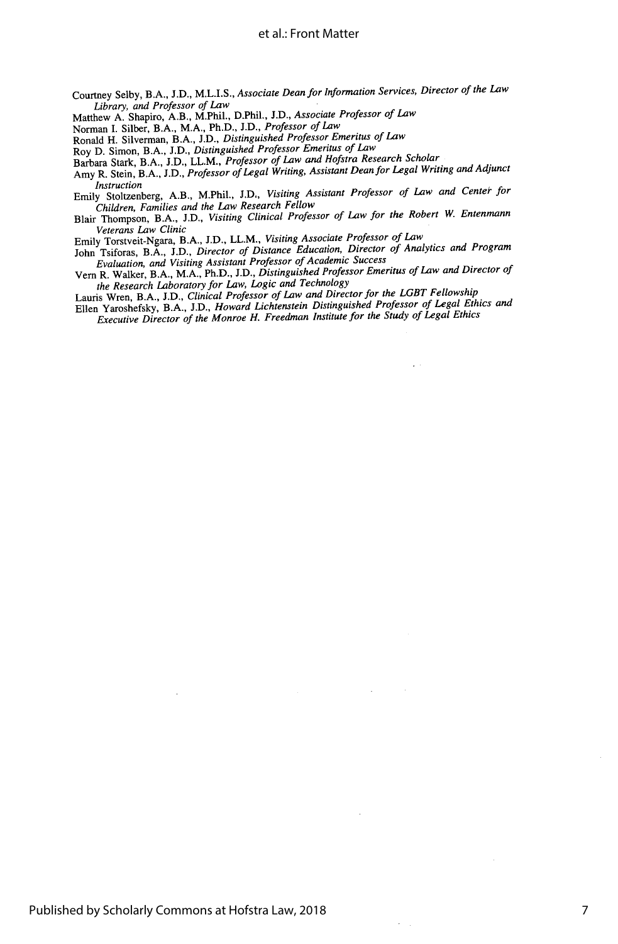- Courtney Selby, B.A., J.D., M.L.I.S., *Associate Dean for Information Services, Director of the Law Library, and Professor of Law*
- Matthew **A.** Shapiro, A.B., M.Phil., D.Phil., J.D., *Associate Professor of Law*
- Norman **I.** Silber, B.A., M.A., Ph.D., **J.D.,** *Professor of Law*
- Ronald H. Silverman, B.A., **J.D.,** *Distinguished Professor Emeritus of Law*
- Roy **D.** Simon, B.A., **J.D.,** *Distinguished Professor Emeritus of Law*
- Barbara Stark, B.A., J.D., LL.M., *Professor of Law and Hofstra Research Scholar*
- Amy R. Stein, B.A., **J.D.,** *Professor of Legal Writing, Assistant Dean for Legal Writing and Adjunct Instruction*
- Emily Stoltzenberg, A.B., M.Phil., **J.D,,** *Visiting Assistant Professor of Law and Center for Children, Families and the Law Research Fellow*
- Blair Thompson, B.A., **J.D.,** *Visiting Clinical Professor of Law for the Robert W. Entenmann Veterans Law Clinic*
- 

Emily Torstveit-Ngara, B.A., **J.D.,** LL.M., *Visiting Associate Professor of Law* John Tsiforas, B.A., **J.D.,** *Director of Distance Education, Director of Analytics and Program Evaluation, and Visiting Assistant Professor of Academic Success*

Vein R. Walker, B.A., M.A., Ph.D., **J.D.,** *Distinguished Professor Emeritus of Law and Director of the Research Laboratory for Law, Logic and Technology*

Lauris Wren, B.A., J.D., *Clinical Professor of Law and Director for the LGBT Fellowship*

Ellen Yaroshefsky, B.A., **J.D.,** *Howard Lichtenstein Distinguished Professor of Legal Ethics and Executive Director of the Monroe H. Freedman Institute for the Study of Legal Ethics*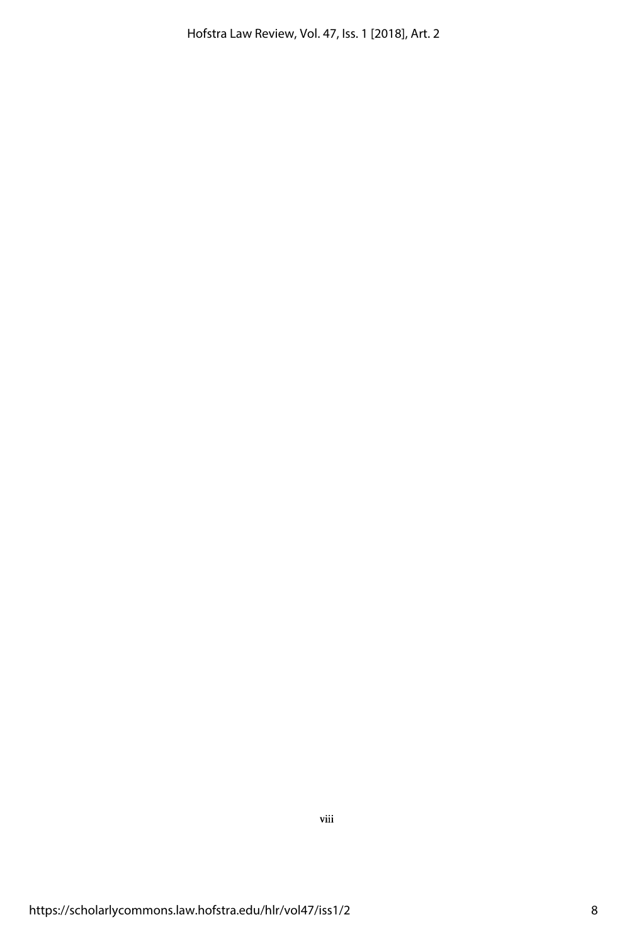Hofstra Law Review, Vol. 47, Iss. 1 [2018], Art. 2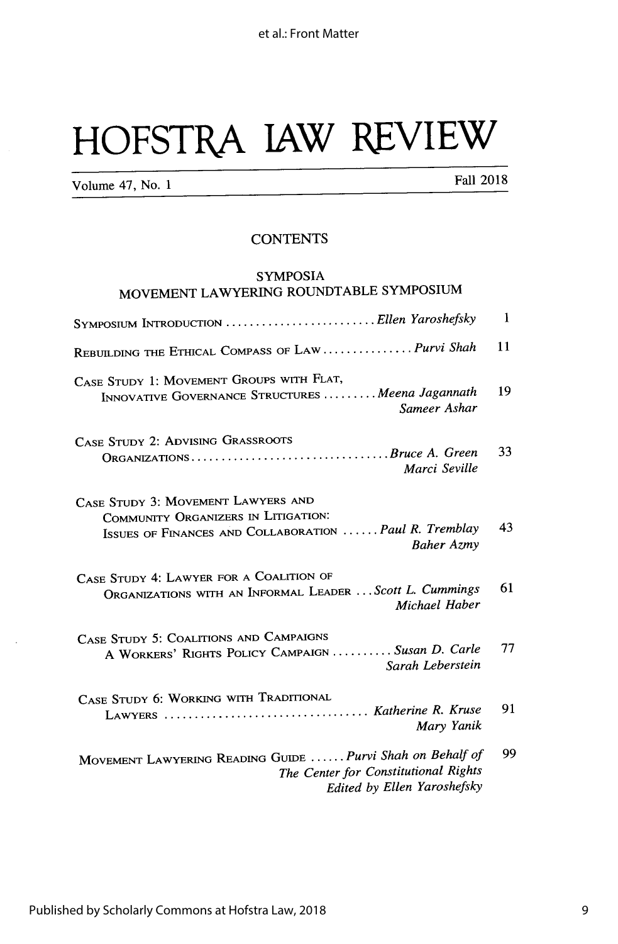# HOFSTPA **lAW** REVIEW

Volume 47, No. 1 Fall 2018

### **CONTENTS**

### **SYMPOSIA**

## MOVEMENT LAWYERING ROUNDTABLE SYMPOSIUM

| SYMPOSIUM INTRODUCTION Ellen Yaroshefsky                                                                                                                 | $\bf{1}$ |
|----------------------------------------------------------------------------------------------------------------------------------------------------------|----------|
| REBUILDING THE ETHICAL COMPASS OF LAW  Purvi Shah                                                                                                        | 11       |
| CASE STUDY 1: MOVEMENT GROUPS WITH FLAT,<br>INNOVATIVE GOVERNANCE STRUCTURES  Meena Jagannath<br>Sameer Ashar                                            | 19       |
| CASE STUDY 2: ADVISING GRASSROOTS<br>Marci Seville                                                                                                       | 33       |
| CASE STUDY 3: MOVEMENT LAWYERS AND<br>COMMUNITY ORGANIZERS IN LITIGATION:<br>ISSUES OF FINANCES AND COLLABORATION  Paul R. Tremblay<br><b>Baher Azmy</b> | 43       |
| CASE STUDY 4: LAWYER FOR A COALITION OF<br>ORGANIZATIONS WITH AN INFORMAL LEADER  Scott L. Cummings<br>Michael Haber                                     | 61       |
| CASE STUDY 5: COALITIONS AND CAMPAIGNS<br>A WORKERS' RIGHTS POLICY CAMPAIGN  Susan D. Carle<br>Sarah Leberstein                                          | 77       |
| CASE STUDY 6: WORKING WITH TRADITIONAL<br>Mary Yanik                                                                                                     | 91       |
| MOVEMENT LAWYERING READING GUIDE  Purvi Shah on Behalf of<br>The Center for Constitutional Rights<br>Edited by Ellen Yaroshefsky                         | 99       |